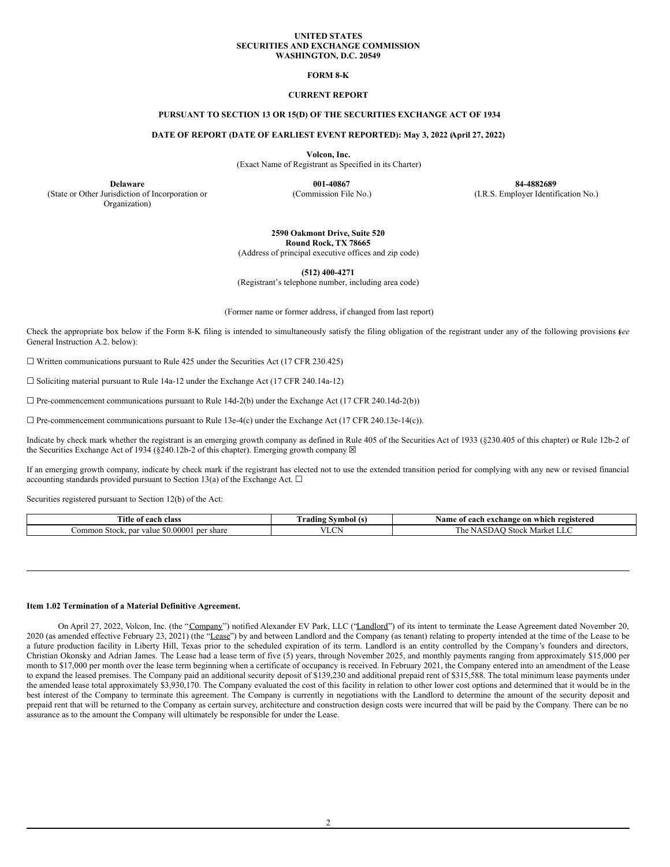### **UNITED STATES SECURITIES AND EXCHANGE COMMISSION WASHINGTON, D.C. 20549**

## **FORM 8-K**

## **CURRENT REPORT**

## **PURSUANT TO SECTION 13 OR 15(D) OF THE SECURITIES EXCHANGE ACT OF 1934**

#### **DATE OF REPORT (DATE OF EARLIEST EVENT REPORTED): May 3, 2022 (April 27, 2022)**

**Volcon, Inc.**

(Exact Name of Registrant as Specified in its Charter)

(State or Other Jurisdiction of Incorporation or Organization)

**Delaware 001-40867 84-4882689** (Commission File No.) (I.R.S. Employer Identification No.)

# **2590 Oakmont Drive, Suite 520 Round Rock, TX 78665**

(Address of principal executive offices and zip code)

**(512) 400-4271**

(Registrant's telephone number, including area code)

(Former name or former address, if changed from last report)

Check the appropriate box below if the Form 8-K filing is intended to simultaneously satisfy the filing obligation of the registrant under any of the following provisions (*see* General Instruction A.2. below):

 $\Box$  Written communications pursuant to Rule 425 under the Securities Act (17 CFR 230.425)

☐ Soliciting material pursuant to Rule 14a-12 under the Exchange Act (17 CFR 240.14a-12)

 $\Box$  Pre-commencement communications pursuant to Rule 14d-2(b) under the Exchange Act (17 CFR 240.14d-2(b))

 $\Box$  Pre-commencement communications pursuant to Rule 13e-4(c) under the Exchange Act (17 CFR 240.13e-14(c)).

Indicate by check mark whether the registrant is an emerging growth company as defined in Rule 405 of the Securities Act of 1933 (§230.405 of this chapter) or Rule 12b-2 of the Securities Exchange Act of 1934 (§240.12b-2 of this chapter). Emerging growth company  $\boxtimes$ 

If an emerging growth company, indicate by check mark if the registrant has elected not to use the extended transition period for complying with any new or revised financial accounting standards provided pursuant to Section 13(a) of the Exchange Act.  $\Box$ 

Securities registered pursuant to Section 12(b) of the Act:

| m.<br>ïtle<br>clas<br>200k<br>.                             | radıng<br>1DO. | registered<br>Namo<br>change:<br>aaah<br>- on<br>which<br>Λv<br>oт |
|-------------------------------------------------------------|----------------|--------------------------------------------------------------------|
| \$0.0000?<br>ommor<br>n Stock.<br>par<br>value<br>мнак<br>" | $\sim$<br>.    | . Stock<br>vlark<br>,,,<br>. .                                     |

## **Item 1.02 Termination of a Material Definitive Agreement.**

On April 27, 2022, Volcon, Inc. (the "Company") notified Alexander EV Park, LLC ("Landlord") of its intent to terminate the Lease Agreement dated November 20, 2020 (as amended effective February 23, 2021) (the "Lease") by and between Landlord and the Company (as tenant) relating to property intended at the time of the Lease to be a future production facility in Liberty Hill, Texas prior to the scheduled expiration of its term. Landlord is an entity controlled by the Company's founders and directors, Christian Okonsky and Adrian James. The Lease had a lease term of five (5) years, through November 2025, and monthly payments ranging from approximately \$15,000 per month to \$17,000 per month over the lease term beginning when a certificate of occupancy is received. In February 2021, the Company entered into an amendment of the Lease to expand the leased premises. The Company paid an additional security deposit of \$139,230 and additional prepaid rent of \$315,588. The total minimum lease payments under the amended lease total approximately \$3,930,170. The Company evaluated the cost of this facility in relation to other lower cost options and determined that it would be in the best interest of the Company to terminate this agreement. The Company is currently in negotiations with the Landlord to determine the amount of the security deposit and prepaid rent that will be returned to the Company as certain survey, architecture and construction design costs were incurred that will be paid by the Company. There can be no assurance as to the amount the Company will ultimately be responsible for under the Lease.